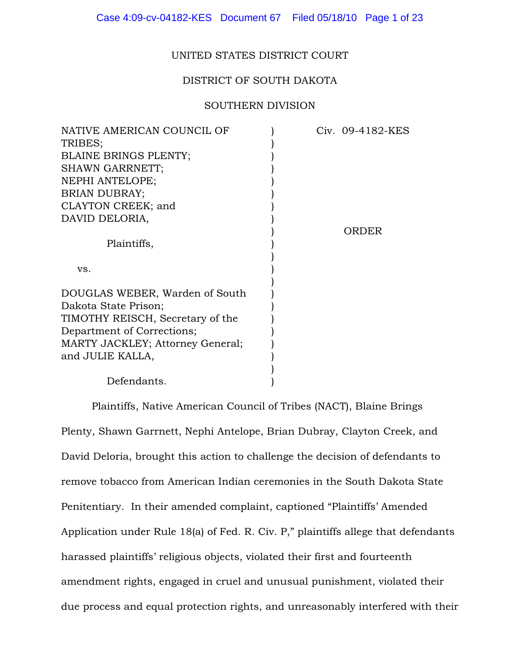### UNITED STATES DISTRICT COURT

### DISTRICT OF SOUTH DAKOTA

#### SOUTHERN DIVISION

| NATIVE AMERICAN COUNCIL OF       |  | Civ. 09-4182-KES |
|----------------------------------|--|------------------|
| TRIBES;                          |  |                  |
| <b>BLAINE BRINGS PLENTY;</b>     |  |                  |
| <b>SHAWN GARRNETT;</b>           |  |                  |
| NEPHI ANTELOPE;                  |  |                  |
| <b>BRIAN DUBRAY;</b>             |  |                  |
| CLAYTON CREEK; and               |  |                  |
| DAVID DELORIA,                   |  |                  |
|                                  |  | ORDER            |
| Plaintiffs,                      |  |                  |
|                                  |  |                  |
| VS.                              |  |                  |
|                                  |  |                  |
| DOUGLAS WEBER, Warden of South   |  |                  |
| Dakota State Prison;             |  |                  |
| TIMOTHY REISCH, Secretary of the |  |                  |
| Department of Corrections;       |  |                  |
| MARTY JACKLEY; Attorney General; |  |                  |
| and JULIE KALLA,                 |  |                  |
|                                  |  |                  |
| Defendants.                      |  |                  |

Plaintiffs, Native American Council of Tribes (NACT), Blaine Brings Plenty, Shawn Garrnett, Nephi Antelope, Brian Dubray, Clayton Creek, and David Deloria, brought this action to challenge the decision of defendants to remove tobacco from American Indian ceremonies in the South Dakota State Penitentiary. In their amended complaint, captioned "Plaintiffs' Amended Application under Rule 18(a) of Fed. R. Civ. P," plaintiffs allege that defendants harassed plaintiffs' religious objects, violated their first and fourteenth amendment rights, engaged in cruel and unusual punishment, violated their due process and equal protection rights, and unreasonably interfered with their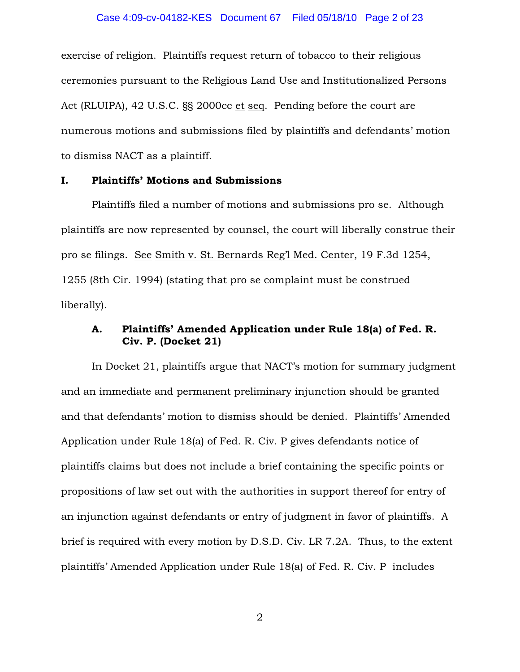### Case 4:09-cv-04182-KES Document 67 Filed 05/18/10 Page 2 of 23

exercise of religion. Plaintiffs request return of tobacco to their religious ceremonies pursuant to the Religious Land Use and Institutionalized Persons Act (RLUIPA), 42 U.S.C. §§ 2000cc et seq. Pending before the court are numerous motions and submissions filed by plaintiffs and defendants' motion to dismiss NACT as a plaintiff.

### I. Plaintiffs' Motions and Submissions

Plaintiffs filed a number of motions and submissions pro se. Although plaintiffs are now represented by counsel, the court will liberally construe their pro se filings. See Smith v. St. Bernards Reg'l Med. Center, 19 F.3d 1254, 1255 (8th Cir. 1994) (stating that pro se complaint must be construed liberally).

# A. Plaintiffs' Amended Application under Rule 18(a) of Fed. R. Civ. P. (Docket 21)

In Docket 21, plaintiffs argue that NACT's motion for summary judgment and an immediate and permanent preliminary injunction should be granted and that defendants' motion to dismiss should be denied. Plaintiffs' Amended Application under Rule 18(a) of Fed. R. Civ. P gives defendants notice of plaintiffs claims but does not include a brief containing the specific points or propositions of law set out with the authorities in support thereof for entry of an injunction against defendants or entry of judgment in favor of plaintiffs. A brief is required with every motion by D.S.D. Civ. LR 7.2A. Thus, to the extent plaintiffs' Amended Application under Rule 18(a) of Fed. R. Civ. P includes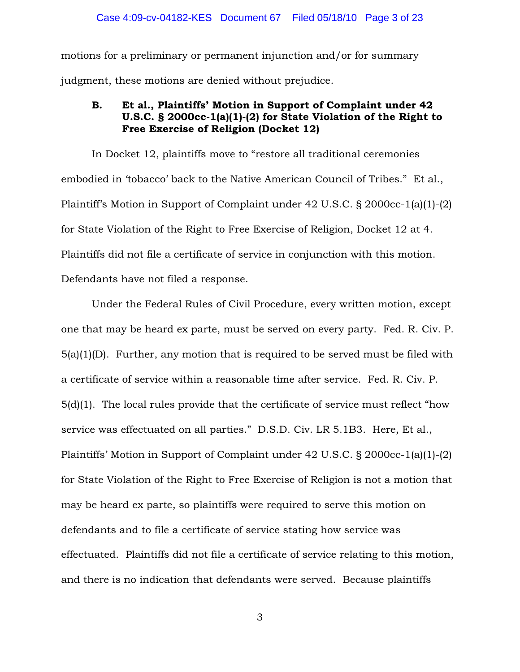motions for a preliminary or permanent injunction and/or for summary judgment, these motions are denied without prejudice.

# B. Et al., Plaintiffs' Motion in Support of Complaint under 42 U.S.C. § 2000cc-1(a)(1)-(2) for State Violation of the Right to Free Exercise of Religion (Docket 12)

In Docket 12, plaintiffs move to "restore all traditional ceremonies embodied in 'tobacco' back to the Native American Council of Tribes." Et al., Plaintiff's Motion in Support of Complaint under 42 U.S.C. § 2000cc-1(a)(1)-(2) for State Violation of the Right to Free Exercise of Religion, Docket 12 at 4. Plaintiffs did not file a certificate of service in conjunction with this motion. Defendants have not filed a response.

Under the Federal Rules of Civil Procedure, every written motion, except one that may be heard ex parte, must be served on every party. Fed. R. Civ. P. 5(a)(1)(D). Further, any motion that is required to be served must be filed with a certificate of service within a reasonable time after service. Fed. R. Civ. P. 5(d)(1). The local rules provide that the certificate of service must reflect "how service was effectuated on all parties." D.S.D. Civ. LR 5.1B3. Here, Et al., Plaintiffs' Motion in Support of Complaint under 42 U.S.C. § 2000cc-1(a)(1)-(2) for State Violation of the Right to Free Exercise of Religion is not a motion that may be heard ex parte, so plaintiffs were required to serve this motion on defendants and to file a certificate of service stating how service was effectuated. Plaintiffs did not file a certificate of service relating to this motion, and there is no indication that defendants were served. Because plaintiffs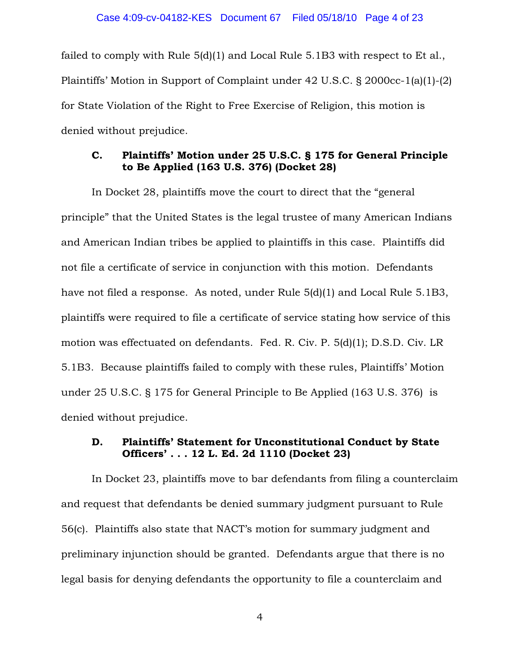failed to comply with Rule 5(d)(1) and Local Rule 5.1B3 with respect to Et al., Plaintiffs' Motion in Support of Complaint under 42 U.S.C. § 2000cc-1(a)(1)-(2) for State Violation of the Right to Free Exercise of Religion, this motion is denied without prejudice.

# C. Plaintiffs' Motion under 25 U.S.C. § 175 for General Principle to Be Applied (163 U.S. 376) (Docket 28)

In Docket 28, plaintiffs move the court to direct that the "general principle" that the United States is the legal trustee of many American Indians and American Indian tribes be applied to plaintiffs in this case. Plaintiffs did not file a certificate of service in conjunction with this motion. Defendants have not filed a response. As noted, under Rule 5(d)(1) and Local Rule 5.1B3, plaintiffs were required to file a certificate of service stating how service of this motion was effectuated on defendants. Fed. R. Civ. P. 5(d)(1); D.S.D. Civ. LR 5.1B3. Because plaintiffs failed to comply with these rules, Plaintiffs' Motion under 25 U.S.C. § 175 for General Principle to Be Applied (163 U.S. 376) is denied without prejudice.

# D. Plaintiffs' Statement for Unconstitutional Conduct by State Officers' . . . 12 L. Ed. 2d 1110 (Docket 23)

In Docket 23, plaintiffs move to bar defendants from filing a counterclaim and request that defendants be denied summary judgment pursuant to Rule 56(c). Plaintiffs also state that NACT's motion for summary judgment and preliminary injunction should be granted. Defendants argue that there is no legal basis for denying defendants the opportunity to file a counterclaim and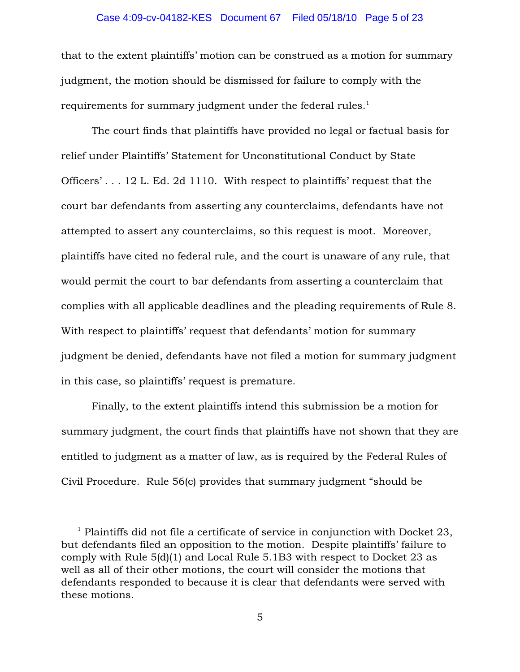### Case 4:09-cv-04182-KES Document 67 Filed 05/18/10 Page 5 of 23

that to the extent plaintiffs' motion can be construed as a motion for summary judgment, the motion should be dismissed for failure to comply with the requirements for summary judgment under the federal rules.<sup>1</sup>

The court finds that plaintiffs have provided no legal or factual basis for relief under Plaintiffs' Statement for Unconstitutional Conduct by State Officers' . . . 12 L. Ed. 2d 1110. With respect to plaintiffs' request that the court bar defendants from asserting any counterclaims, defendants have not attempted to assert any counterclaims, so this request is moot. Moreover, plaintiffs have cited no federal rule, and the court is unaware of any rule, that would permit the court to bar defendants from asserting a counterclaim that complies with all applicable deadlines and the pleading requirements of Rule 8. With respect to plaintiffs' request that defendants' motion for summary judgment be denied, defendants have not filed a motion for summary judgment in this case, so plaintiffs' request is premature.

Finally, to the extent plaintiffs intend this submission be a motion for summary judgment, the court finds that plaintiffs have not shown that they are entitled to judgment as a matter of law, as is required by the Federal Rules of Civil Procedure. Rule 56(c) provides that summary judgment "should be

 $<sup>1</sup>$  Plaintiffs did not file a certificate of service in conjunction with Docket 23,</sup> but defendants filed an opposition to the motion. Despite plaintiffs' failure to comply with Rule 5(d)(1) and Local Rule 5.1B3 with respect to Docket 23 as well as all of their other motions, the court will consider the motions that defendants responded to because it is clear that defendants were served with these motions.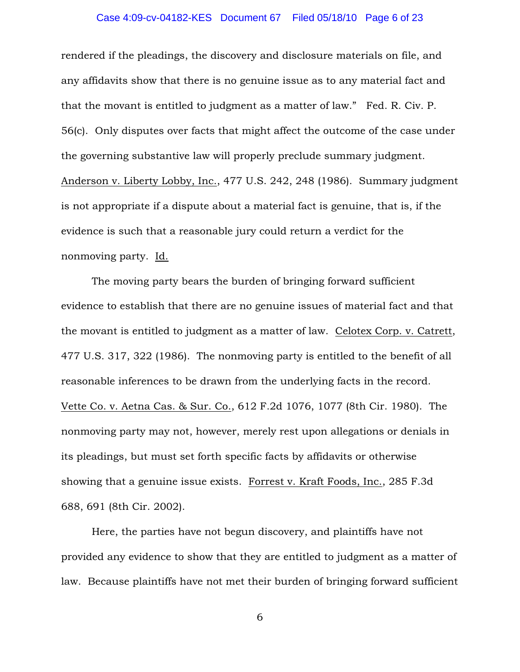# Case 4:09-cv-04182-KES Document 67 Filed 05/18/10 Page 6 of 23

rendered if the pleadings, the discovery and disclosure materials on file, and any affidavits show that there is no genuine issue as to any material fact and that the movant is entitled to judgment as a matter of law." Fed. R. Civ. P. 56(c). Only disputes over facts that might affect the outcome of the case under the governing substantive law will properly preclude summary judgment. Anderson v. Liberty Lobby, Inc., 477 U.S. 242, 248 (1986). Summary judgment is not appropriate if a dispute about a material fact is genuine, that is, if the evidence is such that a reasonable jury could return a verdict for the nonmoving party. Id.

The moving party bears the burden of bringing forward sufficient evidence to establish that there are no genuine issues of material fact and that the movant is entitled to judgment as a matter of law. Celotex Corp. v. Catrett, 477 U.S. 317, 322 (1986). The nonmoving party is entitled to the benefit of all reasonable inferences to be drawn from the underlying facts in the record. Vette Co. v. Aetna Cas. & Sur. Co., 612 F.2d 1076, 1077 (8th Cir. 1980). The nonmoving party may not, however, merely rest upon allegations or denials in its pleadings, but must set forth specific facts by affidavits or otherwise showing that a genuine issue exists. Forrest v. Kraft Foods, Inc., 285 F.3d 688, 691 (8th Cir. 2002).

Here, the parties have not begun discovery, and plaintiffs have not provided any evidence to show that they are entitled to judgment as a matter of law. Because plaintiffs have not met their burden of bringing forward sufficient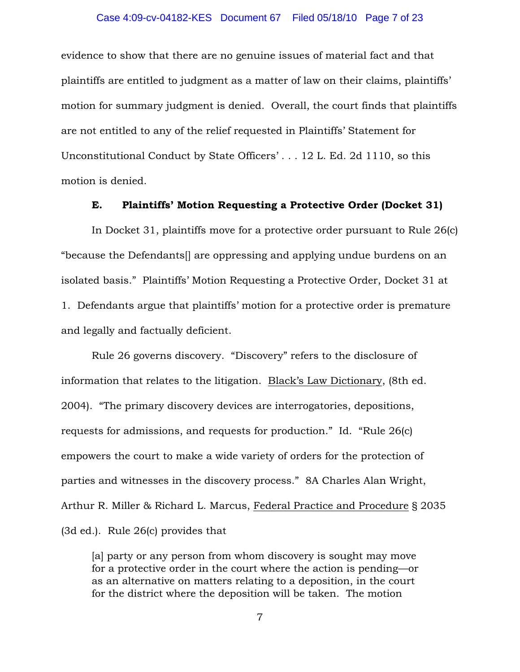### Case 4:09-cv-04182-KES Document 67 Filed 05/18/10 Page 7 of 23

evidence to show that there are no genuine issues of material fact and that plaintiffs are entitled to judgment as a matter of law on their claims, plaintiffs' motion for summary judgment is denied. Overall, the court finds that plaintiffs are not entitled to any of the relief requested in Plaintiffs' Statement for Unconstitutional Conduct by State Officers' . . . 12 L. Ed. 2d 1110, so this motion is denied.

## E. Plaintiffs' Motion Requesting a Protective Order (Docket 31)

In Docket 31, plaintiffs move for a protective order pursuant to Rule 26(c) "because the Defendants[] are oppressing and applying undue burdens on an isolated basis." Plaintiffs' Motion Requesting a Protective Order, Docket 31 at 1. Defendants argue that plaintiffs' motion for a protective order is premature and legally and factually deficient.

Rule 26 governs discovery. "Discovery" refers to the disclosure of information that relates to the litigation. Black's Law Dictionary, (8th ed. 2004). "The primary discovery devices are interrogatories, depositions, requests for admissions, and requests for production." Id. "Rule 26(c) empowers the court to make a wide variety of orders for the protection of parties and witnesses in the discovery process." 8A Charles Alan Wright, Arthur R. Miller & Richard L. Marcus, Federal Practice and Procedure § 2035 (3d ed.). Rule 26(c) provides that

[a] party or any person from whom discovery is sought may move for a protective order in the court where the action is pending—or as an alternative on matters relating to a deposition, in the court for the district where the deposition will be taken. The motion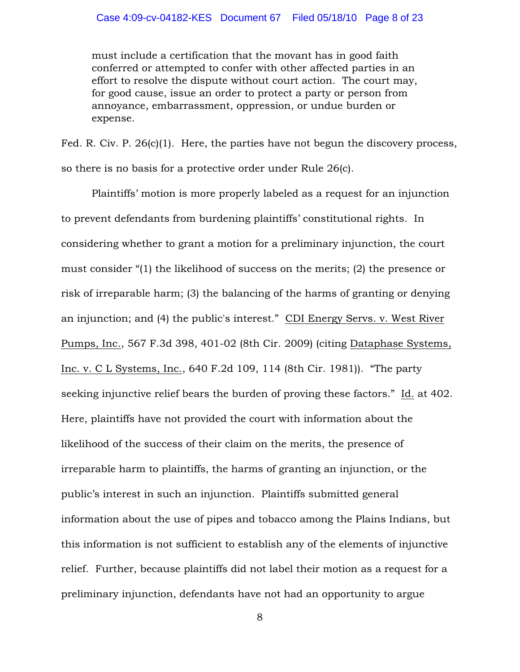### Case 4:09-cv-04182-KES Document 67 Filed 05/18/10 Page 8 of 23

must include a certification that the movant has in good faith conferred or attempted to confer with other affected parties in an effort to resolve the dispute without court action. The court may, for good cause, issue an order to protect a party or person from annoyance, embarrassment, oppression, or undue burden or expense.

Fed. R. Civ. P. 26(c)(1). Here, the parties have not begun the discovery process, so there is no basis for a protective order under Rule 26(c).

Plaintiffs' motion is more properly labeled as a request for an injunction to prevent defendants from burdening plaintiffs' constitutional rights. In considering whether to grant a motion for a preliminary injunction, the court must consider "(1) the likelihood of success on the merits; (2) the presence or risk of irreparable harm; (3) the balancing of the harms of granting or denying an injunction; and (4) the public's interest." CDI Energy Servs. v. West River Pumps, Inc., 567 F.3d 398, 401-02 (8th Cir. 2009) (citing Dataphase Systems, Inc. v. C L Systems, Inc., 640 F.2d 109, 114 (8th Cir. 1981)). "The party seeking injunctive relief bears the burden of proving these factors." Id. at 402. Here, plaintiffs have not provided the court with information about the likelihood of the success of their claim on the merits, the presence of irreparable harm to plaintiffs, the harms of granting an injunction, or the public's interest in such an injunction. Plaintiffs submitted general information about the use of pipes and tobacco among the Plains Indians, but this information is not sufficient to establish any of the elements of injunctive relief. Further, because plaintiffs did not label their motion as a request for a preliminary injunction, defendants have not had an opportunity to argue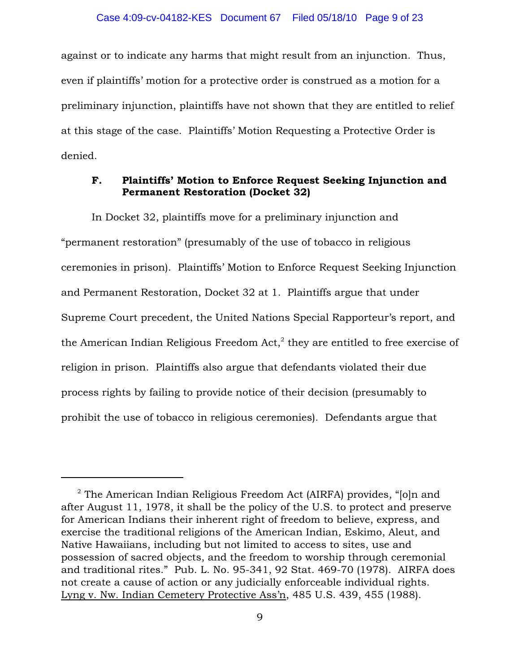against or to indicate any harms that might result from an injunction. Thus, even if plaintiffs' motion for a protective order is construed as a motion for a preliminary injunction, plaintiffs have not shown that they are entitled to relief at this stage of the case. Plaintiffs' Motion Requesting a Protective Order is denied.

## F. Plaintiffs' Motion to Enforce Request Seeking Injunction and Permanent Restoration (Docket 32)

In Docket 32, plaintiffs move for a preliminary injunction and "permanent restoration" (presumably of the use of tobacco in religious ceremonies in prison). Plaintiffs' Motion to Enforce Request Seeking Injunction and Permanent Restoration, Docket 32 at 1. Plaintiffs argue that under Supreme Court precedent, the United Nations Special Rapporteur's report, and the American Indian Religious Freedom  $Act<sub>1</sub><sup>2</sup>$  they are entitled to free exercise of religion in prison. Plaintiffs also argue that defendants violated their due process rights by failing to provide notice of their decision (presumably to prohibit the use of tobacco in religious ceremonies). Defendants argue that

 $2$  The American Indian Religious Freedom Act (AIRFA) provides, "[o]n and after August 11, 1978, it shall be the policy of the U.S. to protect and preserve for American Indians their inherent right of freedom to believe, express, and exercise the traditional religions of the American Indian, Eskimo, Aleut, and Native Hawaiians, including but not limited to access to sites, use and possession of sacred objects, and the freedom to worship through ceremonial and traditional rites." Pub. L. No. 95-341, 92 Stat. 469-70 (1978). AIRFA does not create a cause of action or any judicially enforceable individual rights. Lyng v. Nw. Indian Cemetery Protective Ass'n, 485 U.S. 439, 455 (1988).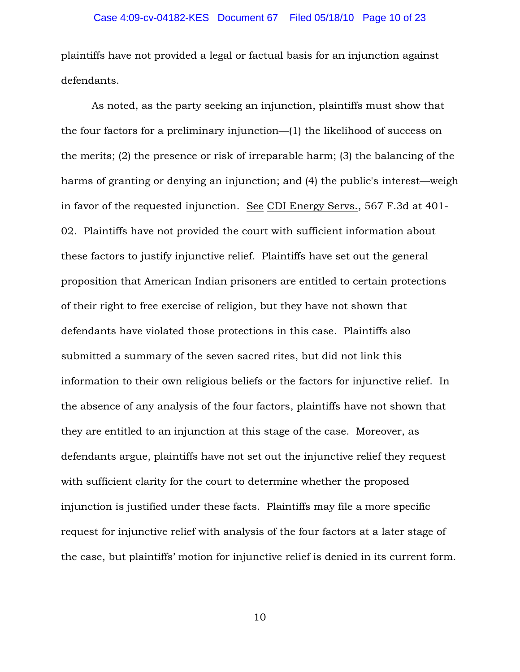plaintiffs have not provided a legal or factual basis for an injunction against defendants.

As noted, as the party seeking an injunction, plaintiffs must show that the four factors for a preliminary injunction—(1) the likelihood of success on the merits; (2) the presence or risk of irreparable harm; (3) the balancing of the harms of granting or denying an injunction; and (4) the public's interest—weigh in favor of the requested injunction. See CDI Energy Servs., 567 F.3d at 401- 02. Plaintiffs have not provided the court with sufficient information about these factors to justify injunctive relief. Plaintiffs have set out the general proposition that American Indian prisoners are entitled to certain protections of their right to free exercise of religion, but they have not shown that defendants have violated those protections in this case. Plaintiffs also submitted a summary of the seven sacred rites, but did not link this information to their own religious beliefs or the factors for injunctive relief. In the absence of any analysis of the four factors, plaintiffs have not shown that they are entitled to an injunction at this stage of the case. Moreover, as defendants argue, plaintiffs have not set out the injunctive relief they request with sufficient clarity for the court to determine whether the proposed injunction is justified under these facts. Plaintiffs may file a more specific request for injunctive relief with analysis of the four factors at a later stage of the case, but plaintiffs' motion for injunctive relief is denied in its current form.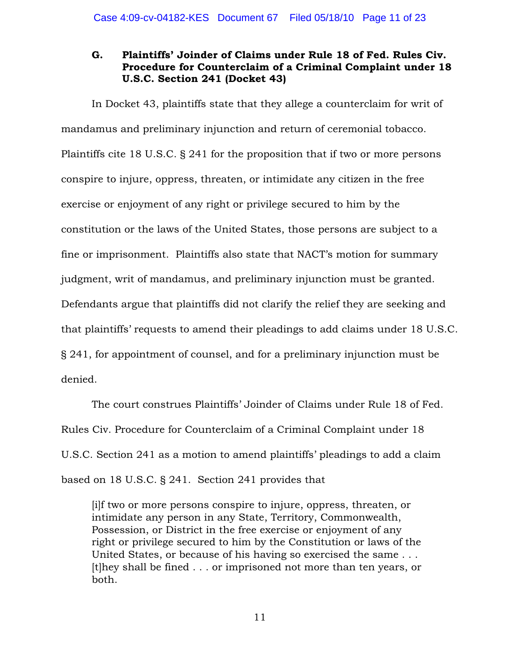# G. Plaintiffs' Joinder of Claims under Rule 18 of Fed. Rules Civ. Procedure for Counterclaim of a Criminal Complaint under 18 U.S.C. Section 241 (Docket 43)

In Docket 43, plaintiffs state that they allege a counterclaim for writ of mandamus and preliminary injunction and return of ceremonial tobacco. Plaintiffs cite 18 U.S.C. § 241 for the proposition that if two or more persons conspire to injure, oppress, threaten, or intimidate any citizen in the free exercise or enjoyment of any right or privilege secured to him by the constitution or the laws of the United States, those persons are subject to a fine or imprisonment. Plaintiffs also state that NACT's motion for summary judgment, writ of mandamus, and preliminary injunction must be granted. Defendants argue that plaintiffs did not clarify the relief they are seeking and that plaintiffs' requests to amend their pleadings to add claims under 18 U.S.C. § 241, for appointment of counsel, and for a preliminary injunction must be denied.

The court construes Plaintiffs' Joinder of Claims under Rule 18 of Fed. Rules Civ. Procedure for Counterclaim of a Criminal Complaint under 18 U.S.C. Section 241 as a motion to amend plaintiffs' pleadings to add a claim based on 18 U.S.C. § 241. Section 241 provides that

[i]f two or more persons conspire to injure, oppress, threaten, or intimidate any person in any State, Territory, Commonwealth, Possession, or District in the free exercise or enjoyment of any right or privilege secured to him by the Constitution or laws of the United States, or because of his having so exercised the same . . . [t]hey shall be fined . . . or imprisoned not more than ten years, or both.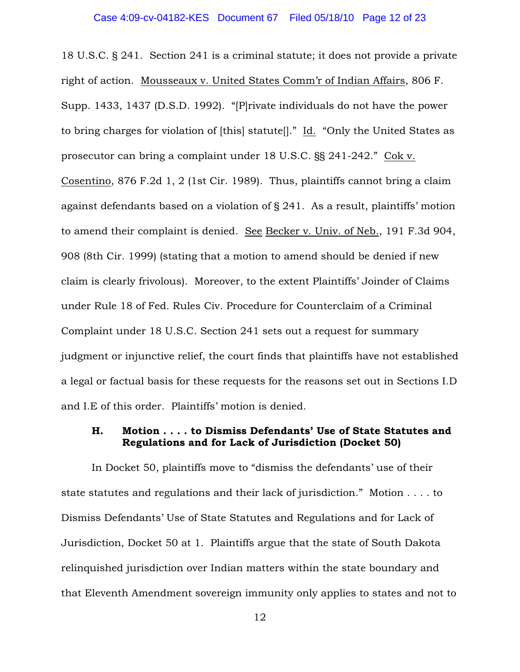18 U.S.C. § 241. Section 241 is a criminal statute; it does not provide a private right of action. Mousseaux v. United States Comm'r of Indian Affairs, 806 F. Supp. 1433, 1437 (D.S.D. 1992). "[P]rivate individuals do not have the power to bring charges for violation of [this] statute[]." Id. "Only the United States as prosecutor can bring a complaint under 18 U.S.C. §§ 241-242." Cok v. Cosentino, 876 F.2d 1, 2 (1st Cir. 1989). Thus, plaintiffs cannot bring a claim against defendants based on a violation of § 241. As a result, plaintiffs' motion to amend their complaint is denied. See Becker v. Univ. of Neb., 191 F.3d 904, 908 (8th Cir. 1999) (stating that a motion to amend should be denied if new claim is clearly frivolous). Moreover, to the extent Plaintiffs' Joinder of Claims under Rule 18 of Fed. Rules Civ. Procedure for Counterclaim of a Criminal Complaint under 18 U.S.C. Section 241 sets out a request for summary judgment or injunctive relief, the court finds that plaintiffs have not established a legal or factual basis for these requests for the reasons set out in Sections I.D and I.E of this order. Plaintiffs' motion is denied.

# H. Motion . . . . to Dismiss Defendants' Use of State Statutes and Regulations and for Lack of Jurisdiction (Docket 50)

In Docket 50, plaintiffs move to "dismiss the defendants' use of their state statutes and regulations and their lack of jurisdiction." Motion . . . . to Dismiss Defendants' Use of State Statutes and Regulations and for Lack of Jurisdiction, Docket 50 at 1. Plaintiffs argue that the state of South Dakota relinquished jurisdiction over Indian matters within the state boundary and that Eleventh Amendment sovereign immunity only applies to states and not to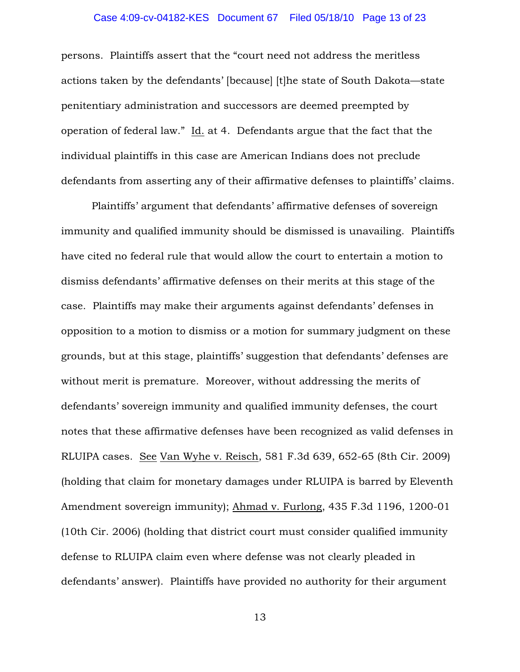### Case 4:09-cv-04182-KES Document 67 Filed 05/18/10 Page 13 of 23

persons. Plaintiffs assert that the "court need not address the meritless actions taken by the defendants' [because] [t]he state of South Dakota—state penitentiary administration and successors are deemed preempted by operation of federal law." Id. at 4. Defendants argue that the fact that the individual plaintiffs in this case are American Indians does not preclude defendants from asserting any of their affirmative defenses to plaintiffs' claims.

Plaintiffs' argument that defendants' affirmative defenses of sovereign immunity and qualified immunity should be dismissed is unavailing. Plaintiffs have cited no federal rule that would allow the court to entertain a motion to dismiss defendants' affirmative defenses on their merits at this stage of the case. Plaintiffs may make their arguments against defendants' defenses in opposition to a motion to dismiss or a motion for summary judgment on these grounds, but at this stage, plaintiffs' suggestion that defendants' defenses are without merit is premature. Moreover, without addressing the merits of defendants' sovereign immunity and qualified immunity defenses, the court notes that these affirmative defenses have been recognized as valid defenses in RLUIPA cases. See Van Wyhe v. Reisch, 581 F.3d 639, 652-65 (8th Cir. 2009) (holding that claim for monetary damages under RLUIPA is barred by Eleventh Amendment sovereign immunity); Ahmad v. Furlong, 435 F.3d 1196, 1200-01 (10th Cir. 2006) (holding that district court must consider qualified immunity defense to RLUIPA claim even where defense was not clearly pleaded in defendants' answer). Plaintiffs have provided no authority for their argument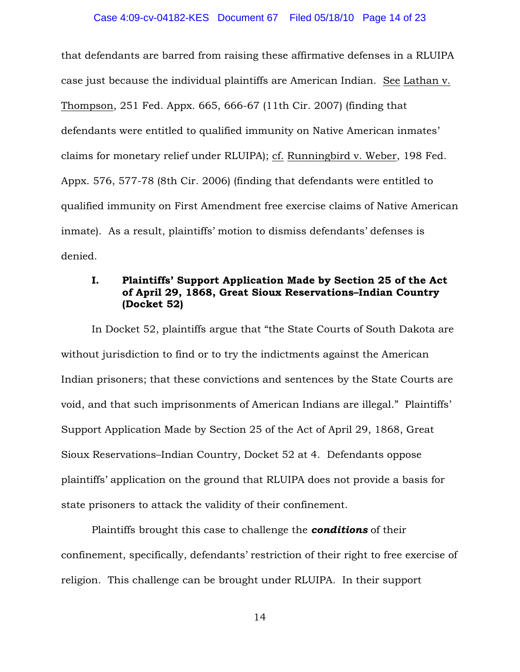that defendants are barred from raising these affirmative defenses in a RLUIPA case just because the individual plaintiffs are American Indian. See Lathan v. Thompson, 251 Fed. Appx. 665, 666-67 (11th Cir. 2007) (finding that defendants were entitled to qualified immunity on Native American inmates' claims for monetary relief under RLUIPA); cf. Runningbird v. Weber, 198 Fed. Appx. 576, 577-78 (8th Cir. 2006) (finding that defendants were entitled to qualified immunity on First Amendment free exercise claims of Native American inmate). As a result, plaintiffs' motion to dismiss defendants' defenses is denied.

# I. Plaintiffs' Support Application Made by Section 25 of the Act of April 29, 1868, Great Sioux Reservations–Indian Country (Docket 52)

In Docket 52, plaintiffs argue that "the State Courts of South Dakota are without jurisdiction to find or to try the indictments against the American Indian prisoners; that these convictions and sentences by the State Courts are void, and that such imprisonments of American Indians are illegal." Plaintiffs' Support Application Made by Section 25 of the Act of April 29, 1868, Great Sioux Reservations–Indian Country, Docket 52 at 4. Defendants oppose plaintiffs' application on the ground that RLUIPA does not provide a basis for state prisoners to attack the validity of their confinement.

Plaintiffs brought this case to challenge the *conditions* of their confinement, specifically, defendants' restriction of their right to free exercise of religion. This challenge can be brought under RLUIPA. In their support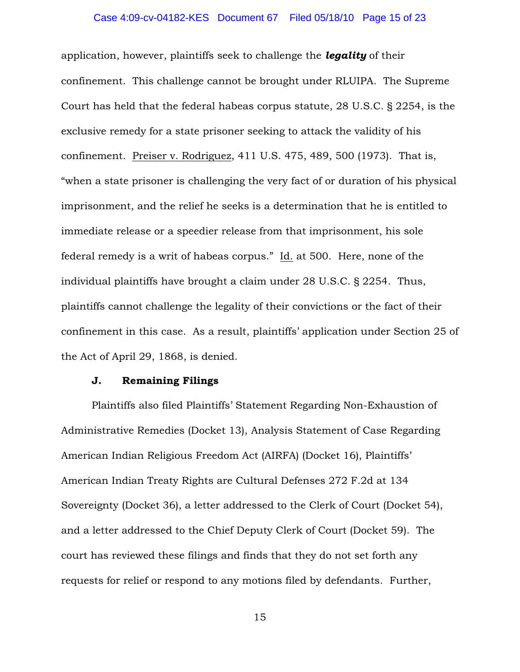### Case 4:09-cv-04182-KES Document 67 Filed 05/18/10 Page 15 of 23

application, however, plaintiffs seek to challenge the *legality* of their confinement. This challenge cannot be brought under RLUIPA. The Supreme Court has held that the federal habeas corpus statute, 28 U.S.C. § 2254, is the exclusive remedy for a state prisoner seeking to attack the validity of his confinement. Preiser v. Rodriguez, 411 U.S. 475, 489, 500 (1973). That is, "when a state prisoner is challenging the very fact of or duration of his physical imprisonment, and the relief he seeks is a determination that he is entitled to immediate release or a speedier release from that imprisonment, his sole federal remedy is a writ of habeas corpus." Id. at 500. Here, none of the individual plaintiffs have brought a claim under 28 U.S.C. § 2254. Thus, plaintiffs cannot challenge the legality of their convictions or the fact of their confinement in this case. As a result, plaintiffs' application under Section 25 of the Act of April 29, 1868, is denied.

### J. Remaining Filings

Plaintiffs also filed Plaintiffs' Statement Regarding Non-Exhaustion of Administrative Remedies (Docket 13), Analysis Statement of Case Regarding American Indian Religious Freedom Act (AIRFA) (Docket 16), Plaintiffs' American Indian Treaty Rights are Cultural Defenses 272 F.2d at 134 Sovereignty (Docket 36), a letter addressed to the Clerk of Court (Docket 54), and a letter addressed to the Chief Deputy Clerk of Court (Docket 59). The court has reviewed these filings and finds that they do not set forth any requests for relief or respond to any motions filed by defendants. Further,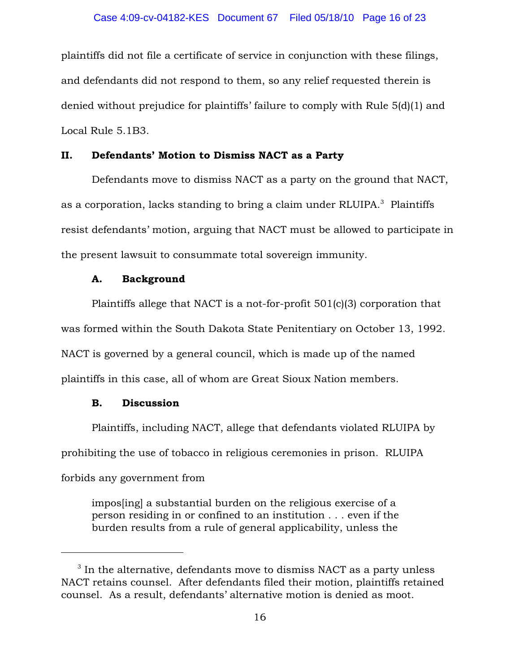plaintiffs did not file a certificate of service in conjunction with these filings, and defendants did not respond to them, so any relief requested therein is denied without prejudice for plaintiffs' failure to comply with Rule 5(d)(1) and Local Rule 5.1B3.

## II. Defendants' Motion to Dismiss NACT as a Party

Defendants move to dismiss NACT as a party on the ground that NACT, as a corporation, lacks standing to bring a claim under RLUIPA.<sup>3</sup> Plaintiffs resist defendants' motion, arguing that NACT must be allowed to participate in the present lawsuit to consummate total sovereign immunity.

### A. Background

Plaintiffs allege that NACT is a not-for-profit 501(c)(3) corporation that was formed within the South Dakota State Penitentiary on October 13, 1992. NACT is governed by a general council, which is made up of the named plaintiffs in this case, all of whom are Great Sioux Nation members.

### B. Discussion

Plaintiffs, including NACT, allege that defendants violated RLUIPA by prohibiting the use of tobacco in religious ceremonies in prison. RLUIPA forbids any government from

impos[ing] a substantial burden on the religious exercise of a person residing in or confined to an institution . . . even if the burden results from a rule of general applicability, unless the

 $3$  In the alternative, defendants move to dismiss NACT as a party unless NACT retains counsel. After defendants filed their motion, plaintiffs retained counsel. As a result, defendants' alternative motion is denied as moot.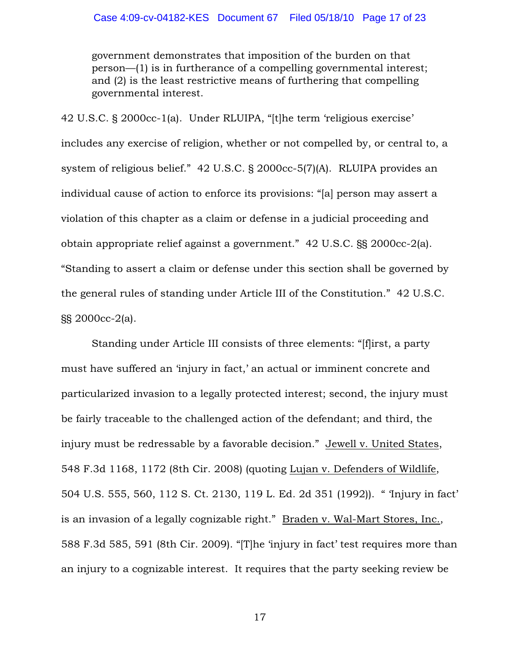government demonstrates that imposition of the burden on that person—(1) is in furtherance of a compelling governmental interest; and (2) is the least restrictive means of furthering that compelling governmental interest.

42 U.S.C. § 2000cc-1(a). Under RLUIPA, "[t]he term 'religious exercise' includes any exercise of religion, whether or not compelled by, or central to, a system of religious belief." 42 U.S.C. § 2000cc-5(7)(A). RLUIPA provides an individual cause of action to enforce its provisions: "[a] person may assert a violation of this chapter as a claim or defense in a judicial proceeding and obtain appropriate relief against a government." 42 U.S.C. §§ 2000cc-2(a). "Standing to assert a claim or defense under this section shall be governed by the general rules of standing under Article III of the Constitution." 42 U.S.C. §§ 2000cc-2(a).

Standing under Article III consists of three elements: "[f]irst, a party must have suffered an 'injury in fact,' an actual or imminent concrete and particularized invasion to a legally protected interest; second, the injury must be fairly traceable to the challenged action of the defendant; and third, the injury must be redressable by a favorable decision." Jewell v. United States, 548 F.3d 1168, 1172 (8th Cir. 2008) (quoting Lujan v. Defenders of Wildlife, 504 U.S. 555, 560, 112 S. Ct. 2130, 119 L. Ed. 2d 351 (1992)). " 'Injury in fact' is an invasion of a legally cognizable right." Braden v. Wal-Mart Stores, Inc., 588 F.3d 585, 591 (8th Cir. 2009). "[T]he 'injury in fact' test requires more than an injury to a cognizable interest. It requires that the party seeking review be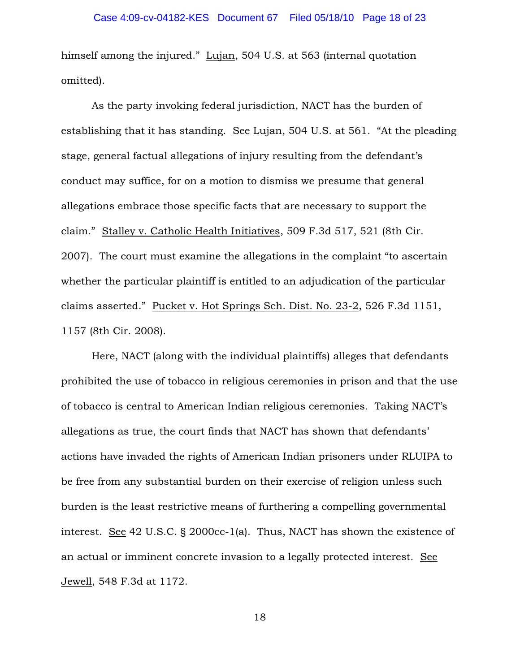himself among the injured." Lujan, 504 U.S. at 563 (internal quotation omitted).

As the party invoking federal jurisdiction, NACT has the burden of establishing that it has standing. See Lujan, 504 U.S. at 561. "At the pleading stage, general factual allegations of injury resulting from the defendant's conduct may suffice, for on a motion to dismiss we presume that general allegations embrace those specific facts that are necessary to support the claim." Stalley v. Catholic Health Initiatives, 509 F.3d 517, 521 (8th Cir. 2007). The court must examine the allegations in the complaint "to ascertain whether the particular plaintiff is entitled to an adjudication of the particular claims asserted." Pucket v. Hot Springs Sch. Dist. No. 23-2, 526 F.3d 1151, 1157 (8th Cir. 2008).

Here, NACT (along with the individual plaintiffs) alleges that defendants prohibited the use of tobacco in religious ceremonies in prison and that the use of tobacco is central to American Indian religious ceremonies. Taking NACT's allegations as true, the court finds that NACT has shown that defendants' actions have invaded the rights of American Indian prisoners under RLUIPA to be free from any substantial burden on their exercise of religion unless such burden is the least restrictive means of furthering a compelling governmental interest. See 42 U.S.C. § 2000cc-1(a). Thus, NACT has shown the existence of an actual or imminent concrete invasion to a legally protected interest. See Jewell, 548 F.3d at 1172.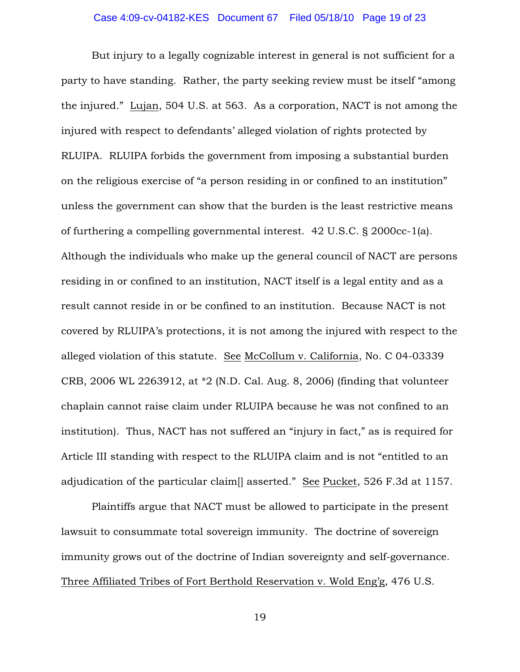### Case 4:09-cv-04182-KES Document 67 Filed 05/18/10 Page 19 of 23

But injury to a legally cognizable interest in general is not sufficient for a party to have standing. Rather, the party seeking review must be itself "among the injured." Lujan, 504 U.S. at 563. As a corporation, NACT is not among the injured with respect to defendants' alleged violation of rights protected by RLUIPA. RLUIPA forbids the government from imposing a substantial burden on the religious exercise of "a person residing in or confined to an institution" unless the government can show that the burden is the least restrictive means of furthering a compelling governmental interest. 42 U.S.C. § 2000cc-1(a). Although the individuals who make up the general council of NACT are persons residing in or confined to an institution, NACT itself is a legal entity and as a result cannot reside in or be confined to an institution. Because NACT is not covered by RLUIPA's protections, it is not among the injured with respect to the alleged violation of this statute. See McCollum v. California, No. C 04-03339 CRB, 2006 WL 2263912, at \*2 (N.D. Cal. Aug. 8, 2006) (finding that volunteer chaplain cannot raise claim under RLUIPA because he was not confined to an institution). Thus, NACT has not suffered an "injury in fact," as is required for Article III standing with respect to the RLUIPA claim and is not "entitled to an adjudication of the particular claim[] asserted." See Pucket, 526 F.3d at 1157.

Plaintiffs argue that NACT must be allowed to participate in the present lawsuit to consummate total sovereign immunity. The doctrine of sovereign immunity grows out of the doctrine of Indian sovereignty and self-governance. Three Affiliated Tribes of Fort Berthold Reservation v. Wold Eng'g, 476 U.S.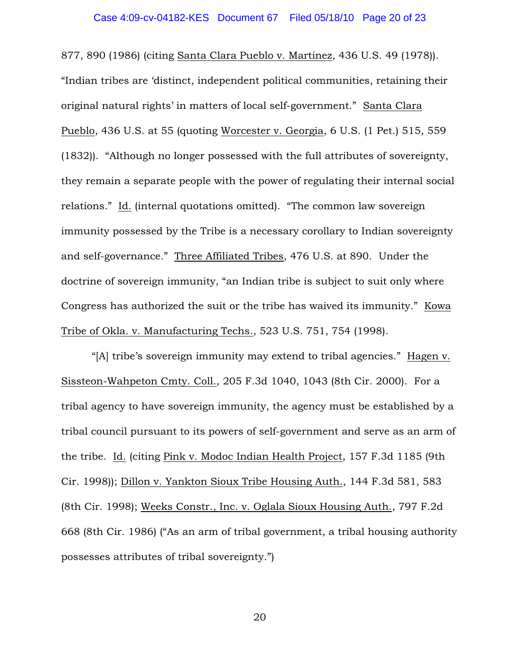877, 890 (1986) (citing Santa Clara Pueblo v. Martinez, 436 U.S. 49 (1978)). "Indian tribes are 'distinct, independent political communities, retaining their original natural rights' in matters of local self-government." Santa Clara Pueblo, 436 U.S. at 55 (quoting Worcester v. Georgia, 6 U.S. (1 Pet.) 515, 559 (1832)). "Although no longer possessed with the full attributes of sovereignty, they remain a separate people with the power of regulating their internal social relations." Id. (internal quotations omitted). "The common law sovereign immunity possessed by the Tribe is a necessary corollary to Indian sovereignty and self-governance." Three Affiliated Tribes, 476 U.S. at 890. Under the doctrine of sovereign immunity, "an Indian tribe is subject to suit only where Congress has authorized the suit or the tribe has waived its immunity." Kowa Tribe of Okla. v. Manufacturing Techs., 523 U.S. 751, 754 (1998).

"[A] tribe's sovereign immunity may extend to tribal agencies." Hagen v. Sissteon-Wahpeton Cmty. Coll., 205 F.3d 1040, 1043 (8th Cir. 2000). For a tribal agency to have sovereign immunity, the agency must be established by a tribal council pursuant to its powers of self-government and serve as an arm of the tribe. Id. (citing Pink v. Modoc Indian Health Project, 157 F.3d 1185 (9th Cir. 1998)); Dillon v. Yankton Sioux Tribe Housing Auth., 144 F.3d 581, 583 (8th Cir. 1998); Weeks Constr., Inc. v. Oglala Sioux Housing Auth., 797 F.2d 668 (8th Cir. 1986) ("As an arm of tribal government, a tribal housing authority possesses attributes of tribal sovereignty.")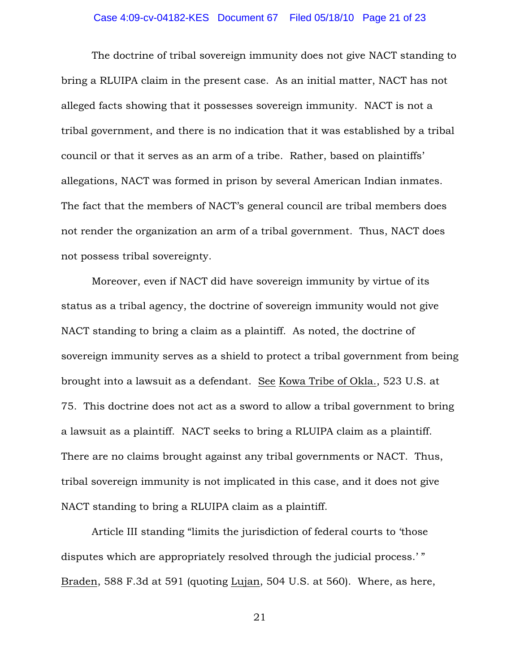### Case 4:09-cv-04182-KES Document 67 Filed 05/18/10 Page 21 of 23

The doctrine of tribal sovereign immunity does not give NACT standing to bring a RLUIPA claim in the present case. As an initial matter, NACT has not alleged facts showing that it possesses sovereign immunity. NACT is not a tribal government, and there is no indication that it was established by a tribal council or that it serves as an arm of a tribe. Rather, based on plaintiffs' allegations, NACT was formed in prison by several American Indian inmates. The fact that the members of NACT's general council are tribal members does not render the organization an arm of a tribal government. Thus, NACT does not possess tribal sovereignty.

Moreover, even if NACT did have sovereign immunity by virtue of its status as a tribal agency, the doctrine of sovereign immunity would not give NACT standing to bring a claim as a plaintiff. As noted, the doctrine of sovereign immunity serves as a shield to protect a tribal government from being brought into a lawsuit as a defendant. See Kowa Tribe of Okla., 523 U.S. at 75. This doctrine does not act as a sword to allow a tribal government to bring a lawsuit as a plaintiff. NACT seeks to bring a RLUIPA claim as a plaintiff. There are no claims brought against any tribal governments or NACT. Thus, tribal sovereign immunity is not implicated in this case, and it does not give NACT standing to bring a RLUIPA claim as a plaintiff.

Article III standing "limits the jurisdiction of federal courts to 'those disputes which are appropriately resolved through the judicial process.' " Braden, 588 F.3d at 591 (quoting Lujan, 504 U.S. at 560). Where, as here,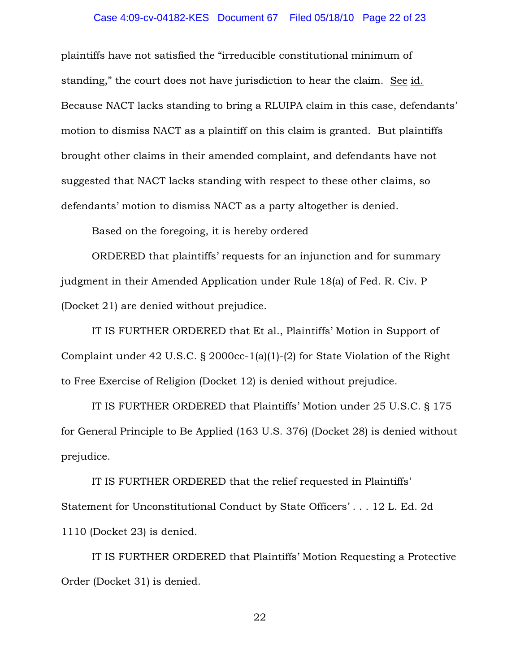### Case 4:09-cv-04182-KES Document 67 Filed 05/18/10 Page 22 of 23

plaintiffs have not satisfied the "irreducible constitutional minimum of standing," the court does not have jurisdiction to hear the claim. See id. Because NACT lacks standing to bring a RLUIPA claim in this case, defendants' motion to dismiss NACT as a plaintiff on this claim is granted. But plaintiffs brought other claims in their amended complaint, and defendants have not suggested that NACT lacks standing with respect to these other claims, so defendants' motion to dismiss NACT as a party altogether is denied.

Based on the foregoing, it is hereby ordered

ORDERED that plaintiffs' requests for an injunction and for summary judgment in their Amended Application under Rule 18(a) of Fed. R. Civ. P (Docket 21) are denied without prejudice.

IT IS FURTHER ORDERED that Et al., Plaintiffs' Motion in Support of Complaint under 42 U.S.C. § 2000cc-1(a)(1)-(2) for State Violation of the Right to Free Exercise of Religion (Docket 12) is denied without prejudice.

IT IS FURTHER ORDERED that Plaintiffs' Motion under 25 U.S.C. § 175 for General Principle to Be Applied (163 U.S. 376) (Docket 28) is denied without prejudice.

IT IS FURTHER ORDERED that the relief requested in Plaintiffs' Statement for Unconstitutional Conduct by State Officers' . . . 12 L. Ed. 2d 1110 (Docket 23) is denied.

IT IS FURTHER ORDERED that Plaintiffs' Motion Requesting a Protective Order (Docket 31) is denied.